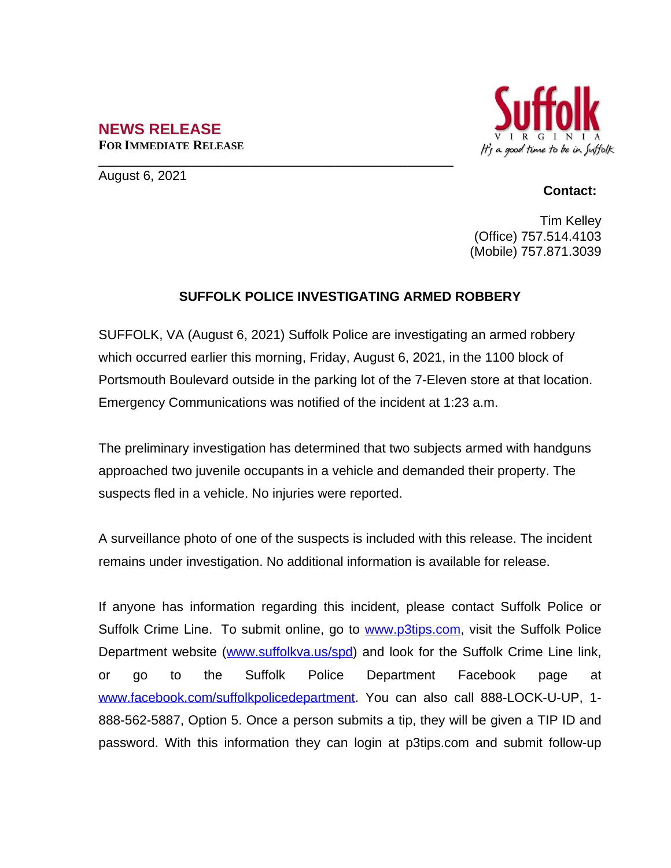## **NEWS RELEASE FOR IMMEDIATE RELEASE**



August 6, 2021

## **Contact:**

Tim Kelley (Office) 757.514.4103 (Mobile) 757.871.3039

## **SUFFOLK POLICE INVESTIGATING ARMED ROBBERY**

**\_\_\_\_\_\_\_\_\_\_\_\_\_\_\_\_\_\_\_\_\_\_\_\_\_\_\_\_\_\_\_\_\_\_\_\_\_\_\_\_\_\_\_\_\_\_\_\_\_\_\_\_\_\_**

SUFFOLK, VA (August 6, 2021) Suffolk Police are investigating an armed robbery which occurred earlier this morning, Friday, August 6, 2021, in the 1100 block of Portsmouth Boulevard outside in the parking lot of the 7-Eleven store at that location. Emergency Communications was notified of the incident at 1:23 a.m.

The preliminary investigation has determined that two subjects armed with handguns approached two juvenile occupants in a vehicle and demanded their property. The suspects fled in a vehicle. No injuries were reported.

A surveillance photo of one of the suspects is included with this release. The incident remains under investigation. No additional information is available for release.

If anyone has information regarding this incident, please contact Suffolk Police or Suffolk Crime Line. To submit online, go to [www.p3tips.com](http://www.p3tips.com), visit the Suffolk Police Department website ([www.suffolkva.us/spd](http://www.suffolkva.us/spd)) and look for the Suffolk Crime Line link, or go to the Suffolk Police Department Facebook page at [www.facebook.com/suffolkpolicedepartment](http://www.facebook.com/suffolkpolicedepartment). You can also call 888-LOCK-U-UP, 1-888-562-5887, Option 5. Once a person submits a tip, they will be given a TIP ID and password. With this information they can login at p3tips.com and submit follow-up